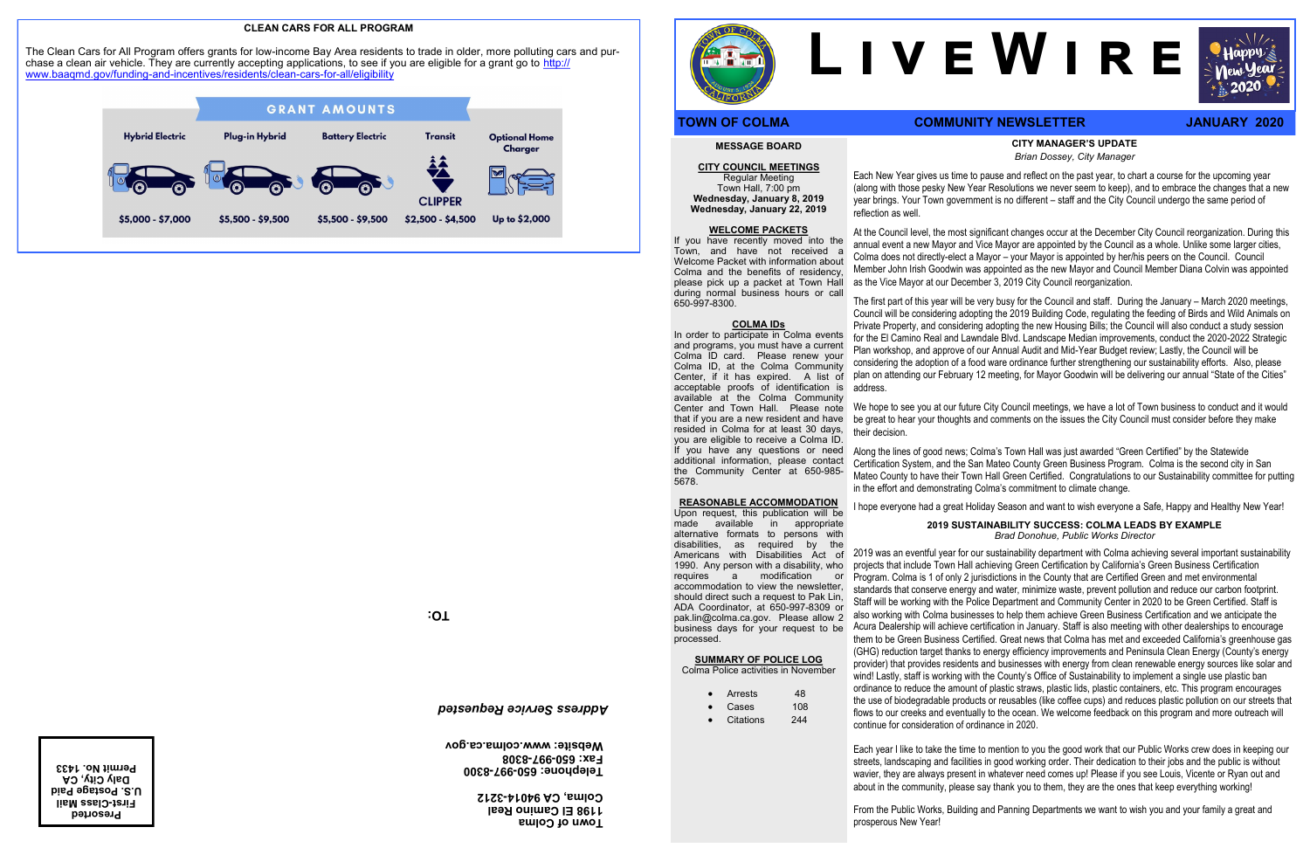### **CITY MANAGER'S UPDATE** *Brian Dossey, City Manager*

Each New Year gives us time to pause and reflect on the past year, to chart a course for the upcoming year (along with those pesky New Year Resolutions we never seem to keep), and to embrace the changes that a new year brings. Your Town government is no different – staff and the City Council undergo the same period of

reflection as well.

At the Council level, the most significant changes occur at the December City Council reorganization. During this annual event a new Mayor and Vice Mayor are appointed by the Council as a whole. Unlike some larger cities, Colma does not directly-elect a Mayor – your Mayor is appointed by her/his peers on the Council. Council Member John Irish Goodwin was appointed as the new Mayor and Council Member Diana Colvin was appointed as the Vice Mayor at our December 3, 2019 City Council reorganization.

The first part of this year will be very busy for the Council and staff. During the January – March 2020 meetings, Council will be considering adopting the 2019 Building Code, regulating the feeding of Birds and Wild Animals on Private Property, and considering adopting the new Housing Bills; the Council will also conduct a study session for the El Camino Real and Lawndale Blvd. Landscape Median improvements, conduct the 2020-2022 Strategic Plan workshop, and approve of our Annual Audit and Mid-Year Budget review; Lastly, the Council will be considering the adoption of a food ware ordinance further strengthening our sustainability efforts. Also, please plan on attending our February 12 meeting, for Mayor Goodwin will be delivering our annual "State of the Cities" address.

We hope to see you at our future City Council meetings, we have a lot of Town business to conduct and it would be great to hear your thoughts and comments on the issues the City Council must consider before they make their decision.

Along the lines of good news; Colma's Town Hall was just awarded "Green Certified" by the Statewide Certification System, and the San Mateo County Green Business Program. Colma is the second city in San Mateo County to have their Town Hall Green Certified. Congratulations to our Sustainability committee for putting in the effort and demonstrating Colma's commitment to climate change.

I hope everyone had a great Holiday Season and want to wish everyone a Safe, Happy and Healthy New Year!

## **2019 SUSTAINABILITY SUCCESS: COLMA LEADS BY EXAMPLE** *Brad Donohue, Public Works Director*

**First-Class Mail U.S. Postage Paid Daly City, CA** 

2019 was an eventful year for our sustainability department with Colma achieving several important sustainability projects that include Town Hall achieving Green Certification by California's Green Business Certification Program. Colma is 1 of only 2 jurisdictions in the County that are Certified Green and met environmental standards that conserve energy and water, minimize waste, prevent pollution and reduce our carbon footprint. Staff will be working with the Police Department and Community Center in 2020 to be Green Certified. Staff is also working with Colma businesses to help them achieve Green Business Certification and we anticipate the Acura Dealership will achieve certification in January. Staff is also meeting with other dealerships to encourage them to be Green Business Certified. Great news that Colma has met and exceeded California's greenhouse gas (GHG) reduction target thanks to energy efficiency improvements and Peninsula Clean Energy (County's energy provider) that provides residents and businesses with energy from clean renewable energy sources like solar and wind! Lastly, staff is working with the County's Office of Sustainability to implement a single use plastic ban ordinance to reduce the amount of plastic straws, plastic lids, plastic containers, etc. This program encourages the use of biodegradable products or reusables (like coffee cups) and reduces plastic pollution on our streets that flows to our creeks and eventually to the ocean. We welcome feedback on this program and more outreach will continue for consideration of ordinance in 2020.

Each year I like to take the time to mention to you the good work that our Public Works crew does in keeping our streets, landscaping and facilities in good working order. Their dedication to their jobs and the public is without wavier, they are always present in whatever need comes up! Please if you see Louis, Vicente or Ryan out and about in the community, please say thank you to them, they are the ones that keep everything working!

From the Public Works, Building and Panning Departments we want to wish you and your family a great and

prosperous New Year!

## **MESSAGE BOARD**

**CITY COUNCIL MEETINGS** Regular Meeting Town Hall, 7:00 pm **Wednesday, January 8, 2019 Wednesday, January 22, 2019** 

#### **WELCOME PACKETS**

If you have recently moved into the Town, and have not received a Welcome Packet with information about Colma and the benefits of residency, please pick up a packet at Town Hall during normal business hours or call 650-997-8300.

#### **COLMA IDs**

In order to participate in Colma events and programs, you must have a current Colma ID card. Please renew your Colma ID, at the Colma Community Center, if it has expired. A list of acceptable proofs of identification is available at the Colma Community Center and Town Hall. Please note that if you are a new resident and have resided in Colma for at least 30 days, you are eligible to receive a Colma ID. If you have any questions or need additional information, please contact the Community Center at 650-985- 5678.

#### **REASONABLE ACCOMMODATION**

Upon request, this publication will be made available in appropriate alternative formats to persons with disabilities, as required by the Americans with Disabilities Act of 1990. Any person with a disability, who<br>requires a modification or a modification or accommodation to view the newsletter, should direct such a request to Pak Lin, ADA Coordinator, at 650-997-8309 or pak.lin@colma.ca.gov. Please allow 2 business days for your request to be processed.

# **SUMMARY OF POLICE LOG**

Colma Police activities in November

- Arrests 48
- Cases 108
- Citations 244

# **L i v e W i r e**

# **TOWN OF COLMA COMMUNITY NEWSLETTER JANUARY 2020**

**TO:**

**Town of Colma 1198 El Camino Real 3212 - Colma, CA 94014**

**8300 - 997 - Telephone: 650 8308 - 997 - Fax: 650 Website: www.colma.ca.gov**

# *Address Service Requested*

**Presorted Permit No. 1433**



#### **CLEAN CARS FOR ALL PROGRAM**

The Clean Cars for All Program offers grants for low-income Bay Area residents to trade in older, more polluting cars and purchase a clean air vehicle. They are currently accepting applications, to see if you are eligible for a grant go to [http://](http://www.baaqmd.gov/funding-and-incentives/residents/clean-cars-for-all/eligibility) [www.baaqmd.gov/funding](http://www.baaqmd.gov/funding-and-incentives/residents/clean-cars-for-all/eligibility)-and-incentives/residents/clean-cars-for-all/eligibility